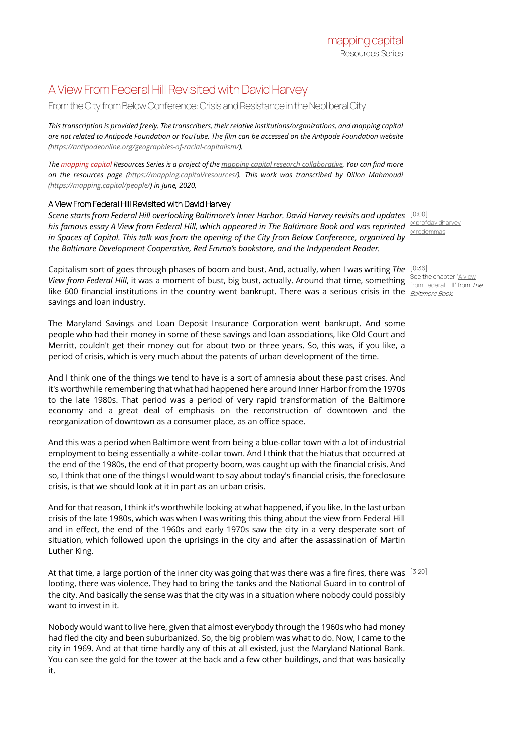## A View From Federal Hill Revisited with David Harvey

## From the City from Below Conference: Crisis and Resistance in the Neoliberal City

*This transcription is provided freely. The transcribers, their relative institutions/organizations, and mapping capital are not related to Antipode Foundation or YouTube. The film can be accessed on the Antipode Foundation website [\(https://antipodeonline.org/geographies-of-racial-capitalism/\).](https://antipodeonline.org/geographies-of-racial-capitalism/)*

*The mapping capital Resources Series is a project of th[e mapping capital research collaborative.](https://mapping.capital/) You can find more on the resources page [\(https://mapping.capital/resources/\).](https://mapping.capital/resources/) This work was transcribed by Dillon Mahmoudi [\(https://mapping.capital/people/\)](https://mapping.capital/people/) in June, 2020.*

## A View From Federal Hill Revisited with David Harvey

*Scene starts from Federal Hill overlooking Baltimore's Inner Harbor. David Harvey revisits and updates*  [0:00] his famous essay A View from Federal Hill, which appeared in The Baltimore Book and was reprinted <sup>[@profdavidharvey](https://twitter.com/profdavidharvey)</sup> *in Spaces of Capital. This talk was from the opening of the City from Below Conference, organized by the Baltimore Development Cooperative, Red Emma's bookstore, and the Indypendent Reader.*

Capitalism sort of goes through phases of boom and bust. And, actually, when I was writing *The*  [0:36] View from Federal Hill, it was a moment of bust, big bust, actually. Around that time, something See the chapter "A view like 600 financial institutions in the country went bankrupt. There was a serious crisis in the  $\frac{Batrimore Book}{Boltino}$ savings and loan industry.

The Maryland Savings and Loan Deposit Insurance Corporation went bankrupt. And some people who had their money in some of these savings and loan associations, like Old Court and Merritt, couldn't get their money out for about two or three years. So, this was, if you like, a period of crisis, which is very much about the patents of urban development of the time.

And I think one of the things we tend to have is a sort of amnesia about these past crises. And it's worthwhile remembering that what had happened here around Inner Harbor from the 1970s to the late 1980s. That period was a period of very rapid transformation of the Baltimore economy and a great deal of emphasis on the reconstruction of downtown and the reorganization of downtown as a consumer place, as an office space.

And this was a period when Baltimore went from being a blue-collar town with a lot of industrial employment to being essentially a white-collar town. And I think that the hiatus that occurred at the end of the 1980s, the end of that property boom, was caught up with the financial crisis. And so, I think that one of the things I would want to say about today's financial crisis, the foreclosure crisis, is that we should look at it in part as an urban crisis.

And for that reason, I think it's worthwhile looking at what happened, if you like. In the last urban crisis of the late 1980s, which was when I was writing this thing about the view from Federal Hill and in effect, the end of the 1960s and early 1970s saw the city in a very desperate sort of situation, which followed upon the uprisings in the city and after the assassination of Martin Luther King.

At that time, a large portion of the inner city was going that was there was a fire fires, there was  $^{\, [3:20]}$ looting, there was violence. They had to bring the tanks and the National Guard in to control of the city. And basically the sense was that the city was in a situation where nobody could possibly want to invest in it.

Nobody would want to live here, given that almost everybody through the 1960s who had money had fled the city and been suburbanized. So, the big problem was what to do. Now, I came to the city in 1969. And at that time hardly any of this at all existed, just the Maryland National Bank. You can see the gold for the tower at the back and a few other buildings, and that was basically it.

[@redemmas](https://twitter.com/redemmas)

[from Federal Hill"](http://davidharvey.org/wp-content/uploads/2014/05/a-view-from-federal-hill.pdf) from The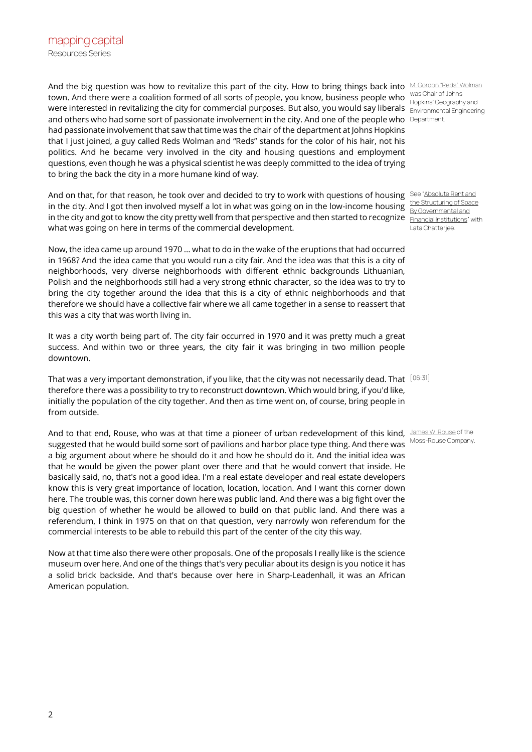And the big question was how to revitalize this part of the city. How to bring things back into [M. Gordon "Reds" Wolman](https://en.wikipedia.org/wiki/M._Gordon_Wolman) town. And there were a coalition formed of all sorts of people, you know, business people who was Chair of Johns were interested in revitalizing the city for commercial purposes. But also, you would say liberals  $\rm_{Environment}$  Engineering and others who had some sort of passionate involvement in the city. And one of the people who Department. had passionate involvement that saw that time was the chair of the department at Johns Hopkins that I just joined, a guy called Reds Wolman and "Reds" stands for the color of his hair, not his politics. And he became very involved in the city and housing questions and employment questions, even though he was a physical scientist he was deeply committed to the idea of trying to bring the back the city in a more humane kind of way.

And on that, for that reason, he took over and decided to try to work with questions of housing See Absolute Rent and in the city. And I got then involved myself a lot in what was going on in the low-income housing in the city and got to know the city pretty well from that perspective and then started to recognize Engencial Institutions' with what was going on here in terms of the commercial development.

Now, the idea came up around 1970 ... what to do in the wake of the eruptions that had occurred in 1968? And the idea came that you would run a city fair. And the idea was that this is a city of neighborhoods, very diverse neighborhoods with different ethnic backgrounds Lithuanian, Polish and the neighborhoods still had a very strong ethnic character, so the idea was to try to bring the city together around the idea that this is a city of ethnic neighborhoods and that therefore we should have a collective fair where we all came together in a sense to reassert that this was a city that was worth living in.

It was a city worth being part of. The city fair occurred in 1970 and it was pretty much a great success. And within two or three years, the city fair it was bringing in two million people downtown.

That was a very important demonstration, if you like, that the city was not necessarily dead. That  $^{[06:31]}$ therefore there was a possibility to try to reconstruct downtown. Which would bring, if you'd like, initially the population of the city together. And then as time went on, of course, bring people in from outside.

And to that end, Rouse, who was at that time a pioneer of urban redevelopment of this kind, [James W. Rouse](https://en.wikipedia.org/wiki/The_Rouse_Company) of the suggested that he would build some sort of pavilions and harbor place type thing. And there was a big argument about where he should do it and how he should do it. And the initial idea was that he would be given the power plant over there and that he would convert that inside. He basically said, no, that's not a good idea. I'm a real estate developer and real estate developers know this is very great importance of location, location, location. And I want this corner down here. The trouble was, this corner down here was public land. And there was a big fight over the big question of whether he would be allowed to build on that public land. And there was a referendum, I think in 1975 on that on that question, very narrowly won referendum for the commercial interests to be able to rebuild this part of the center of the city this way.

Now at that time also there were other proposals. One of the proposals I really like is the science museum over here. And one of the things that's very peculiar about its design is you notice it has a solid brick backside. And that's because over here in Sharp-Leadenhall, it was an African American population.

Hopkins' Geography and

[the Structuring of Space](https://onlinelibrary.wiley.com/doi/abs/10.1111/j.1467-8330.1974.tb00580.x)  By Governmental and Lata Chatteriee.

Moss-Rouse Company.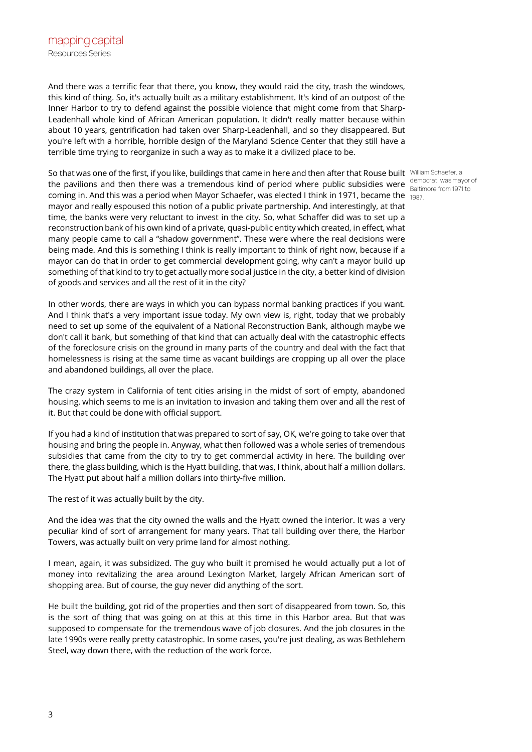And there was a terrific fear that there, you know, they would raid the city, trash the windows, this kind of thing. So, it's actually built as a military establishment. It's kind of an outpost of the Inner Harbor to try to defend against the possible violence that might come from that Sharp-Leadenhall whole kind of African American population. It didn't really matter because within about 10 years, gentrification had taken over Sharp-Leadenhall, and so they disappeared. But you're left with a horrible, horrible design of the Maryland Science Center that they still have a terrible time trying to reorganize in such a way as to make it a civilized place to be.

So that was one of the first, if you like, buildings that came in here and then after that Rouse built William Schaefer, a the pavilions and then there was a tremendous kind of period where public subsidies were democrat, was mayor of coming in. And this was a period when Mayor Schaefer, was elected I think in 1971, became the  $_{[1987]}$ mayor and really espoused this notion of a public private partnership. And interestingly, at that time, the banks were very reluctant to invest in the city. So, what Schaffer did was to set up a reconstruction bank of his own kind of a private, quasi-public entity which created, in effect, what many people came to call a "shadow government". These were where the real decisions were being made. And this is something I think is really important to think of right now, because if a mayor can do that in order to get commercial development going, why can't a mayor build up something of that kind to try to get actually more social justice in the city, a better kind of division of goods and services and all the rest of it in the city?

In other words, there are ways in which you can bypass normal banking practices if you want. And I think that's a very important issue today. My own view is, right, today that we probably need to set up some of the equivalent of a National Reconstruction Bank, although maybe we don't call it bank, but something of that kind that can actually deal with the catastrophic effects of the foreclosure crisis on the ground in many parts of the country and deal with the fact that homelessness is rising at the same time as vacant buildings are cropping up all over the place and abandoned buildings, all over the place.

The crazy system in California of tent cities arising in the midst of sort of empty, abandoned housing, which seems to me is an invitation to invasion and taking them over and all the rest of it. But that could be done with official support.

If you had a kind of institution that was prepared to sort of say, OK, we're going to take over that housing and bring the people in. Anyway, what then followed was a whole series of tremendous subsidies that came from the city to try to get commercial activity in here. The building over there, the glass building, which is the Hyatt building, that was, I think, about half a million dollars. The Hyatt put about half a million dollars into thirty-five million.

The rest of it was actually built by the city.

And the idea was that the city owned the walls and the Hyatt owned the interior. It was a very peculiar kind of sort of arrangement for many years. That tall building over there, the Harbor Towers, was actually built on very prime land for almost nothing.

I mean, again, it was subsidized. The guy who built it promised he would actually put a lot of money into revitalizing the area around Lexington Market, largely African American sort of shopping area. But of course, the guy never did anything of the sort.

He built the building, got rid of the properties and then sort of disappeared from town. So, this is the sort of thing that was going on at this at this time in this Harbor area. But that was supposed to compensate for the tremendous wave of job closures. And the job closures in the late 1990s were really pretty catastrophic. In some cases, you're just dealing, as was Bethlehem Steel, way down there, with the reduction of the work force.

Baltimore from 1971 to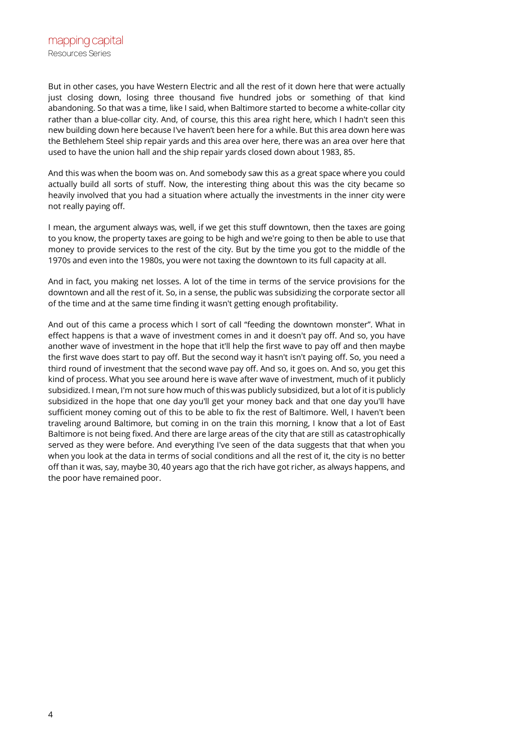But in other cases, you have Western Electric and all the rest of it down here that were actually just closing down, losing three thousand five hundred jobs or something of that kind abandoning. So that was a time, like I said, when Baltimore started to become a white-collar city rather than a blue-collar city. And, of course, this this area right here, which I hadn't seen this new building down here because I've haven't been here for a while. But this area down here was the Bethlehem Steel ship repair yards and this area over here, there was an area over here that used to have the union hall and the ship repair yards closed down about 1983, 85.

And this was when the boom was on. And somebody saw this as a great space where you could actually build all sorts of stuff. Now, the interesting thing about this was the city became so heavily involved that you had a situation where actually the investments in the inner city were not really paying off.

I mean, the argument always was, well, if we get this stuff downtown, then the taxes are going to you know, the property taxes are going to be high and we're going to then be able to use that money to provide services to the rest of the city. But by the time you got to the middle of the 1970s and even into the 1980s, you were not taxing the downtown to its full capacity at all.

And in fact, you making net losses. A lot of the time in terms of the service provisions for the downtown and all the rest of it. So, in a sense, the public was subsidizing the corporate sector all of the time and at the same time finding it wasn't getting enough profitability.

And out of this came a process which I sort of call "feeding the downtown monster". What in effect happens is that a wave of investment comes in and it doesn't pay off. And so, you have another wave of investment in the hope that it'll help the first wave to pay off and then maybe the first wave does start to pay off. But the second way it hasn't isn't paying off. So, you need a third round of investment that the second wave pay off. And so, it goes on. And so, you get this kind of process. What you see around here is wave after wave of investment, much of it publicly subsidized. I mean, I'm not sure how much of this was publicly subsidized, but a lot of it is publicly subsidized in the hope that one day you'll get your money back and that one day you'll have sufficient money coming out of this to be able to fix the rest of Baltimore. Well, I haven't been traveling around Baltimore, but coming in on the train this morning, I know that a lot of East Baltimore is not being fixed. And there are large areas of the city that are still as catastrophically served as they were before. And everything I've seen of the data suggests that that when you when you look at the data in terms of social conditions and all the rest of it, the city is no better off than it was, say, maybe 30, 40 years ago that the rich have got richer, as always happens, and the poor have remained poor.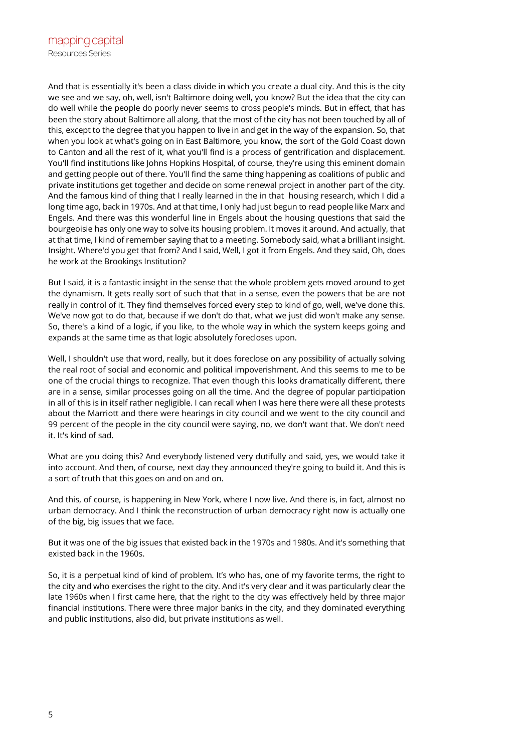And that is essentially it's been a class divide in which you create a dual city. And this is the city we see and we say, oh, well, isn't Baltimore doing well, you know? But the idea that the city can do well while the people do poorly never seems to cross people's minds. But in effect, that has been the story about Baltimore all along, that the most of the city has not been touched by all of this, except to the degree that you happen to live in and get in the way of the expansion. So, that when you look at what's going on in East Baltimore, you know, the sort of the Gold Coast down to Canton and all the rest of it, what you'll find is a process of gentrification and displacement. You'll find institutions like Johns Hopkins Hospital, of course, they're using this eminent domain and getting people out of there. You'll find the same thing happening as coalitions of public and private institutions get together and decide on some renewal project in another part of the city. And the famous kind of thing that I really learned in the in that housing research, which I did a long time ago, back in 1970s. And at that time, I only had just begun to read people like Marx and Engels. And there was this wonderful line in Engels about the housing questions that said the bourgeoisie has only one way to solve its housing problem. It moves it around. And actually, that at that time, I kind of remember saying that to a meeting. Somebody said, what a brilliant insight. Insight. Where'd you get that from? And I said, Well, I got it from Engels. And they said, Oh, does he work at the Brookings Institution?

But I said, it is a fantastic insight in the sense that the whole problem gets moved around to get the dynamism. It gets really sort of such that that in a sense, even the powers that be are not really in control of it. They find themselves forced every step to kind of go, well, we've done this. We've now got to do that, because if we don't do that, what we just did won't make any sense. So, there's a kind of a logic, if you like, to the whole way in which the system keeps going and expands at the same time as that logic absolutely forecloses upon.

Well, I shouldn't use that word, really, but it does foreclose on any possibility of actually solving the real root of social and economic and political impoverishment. And this seems to me to be one of the crucial things to recognize. That even though this looks dramatically different, there are in a sense, similar processes going on all the time. And the degree of popular participation in all of this is in itself rather negligible. I can recall when I was here there were all these protests about the Marriott and there were hearings in city council and we went to the city council and 99 percent of the people in the city council were saying, no, we don't want that. We don't need it. It's kind of sad.

What are you doing this? And everybody listened very dutifully and said, yes, we would take it into account. And then, of course, next day they announced they're going to build it. And this is a sort of truth that this goes on and on and on.

And this, of course, is happening in New York, where I now live. And there is, in fact, almost no urban democracy. And I think the reconstruction of urban democracy right now is actually one of the big, big issues that we face.

But it was one of the big issues that existed back in the 1970s and 1980s. And it's something that existed back in the 1960s.

So, it is a perpetual kind of kind of problem. It's who has, one of my favorite terms, the right to the city and who exercises the right to the city. And it's very clear and it was particularly clear the late 1960s when I first came here, that the right to the city was effectively held by three major financial institutions. There were three major banks in the city, and they dominated everything and public institutions, also did, but private institutions as well.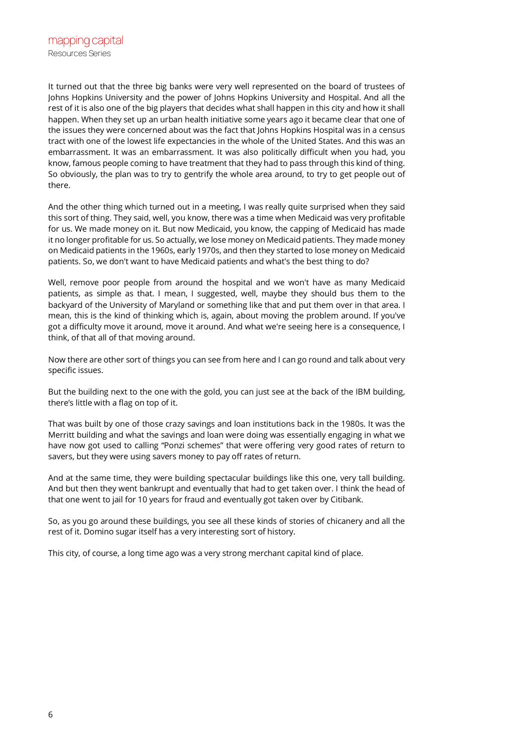It turned out that the three big banks were very well represented on the board of trustees of Johns Hopkins University and the power of Johns Hopkins University and Hospital. And all the rest of it is also one of the big players that decides what shall happen in this city and how it shall happen. When they set up an urban health initiative some years ago it became clear that one of the issues they were concerned about was the fact that Johns Hopkins Hospital was in a census tract with one of the lowest life expectancies in the whole of the United States. And this was an embarrassment. It was an embarrassment. It was also politically difficult when you had, you know, famous people coming to have treatment that they had to pass through this kind of thing. So obviously, the plan was to try to gentrify the whole area around, to try to get people out of there.

And the other thing which turned out in a meeting, I was really quite surprised when they said this sort of thing. They said, well, you know, there was a time when Medicaid was very profitable for us. We made money on it. But now Medicaid, you know, the capping of Medicaid has made it no longer profitable for us. So actually, we lose money on Medicaid patients. They made money on Medicaid patients in the 1960s, early 1970s, and then they started to lose money on Medicaid patients. So, we don't want to have Medicaid patients and what's the best thing to do?

Well, remove poor people from around the hospital and we won't have as many Medicaid patients, as simple as that. I mean, I suggested, well, maybe they should bus them to the backyard of the University of Maryland or something like that and put them over in that area. I mean, this is the kind of thinking which is, again, about moving the problem around. If you've got a difficulty move it around, move it around. And what we're seeing here is a consequence, I think, of that all of that moving around.

Now there are other sort of things you can see from here and I can go round and talk about very specific issues.

But the building next to the one with the gold, you can just see at the back of the IBM building, there's little with a flag on top of it.

That was built by one of those crazy savings and loan institutions back in the 1980s. It was the Merritt building and what the savings and loan were doing was essentially engaging in what we have now got used to calling "Ponzi schemes" that were offering very good rates of return to savers, but they were using savers money to pay off rates of return.

And at the same time, they were building spectacular buildings like this one, very tall building. And but then they went bankrupt and eventually that had to get taken over. I think the head of that one went to jail for 10 years for fraud and eventually got taken over by Citibank.

So, as you go around these buildings, you see all these kinds of stories of chicanery and all the rest of it. Domino sugar itself has a very interesting sort of history.

This city, of course, a long time ago was a very strong merchant capital kind of place.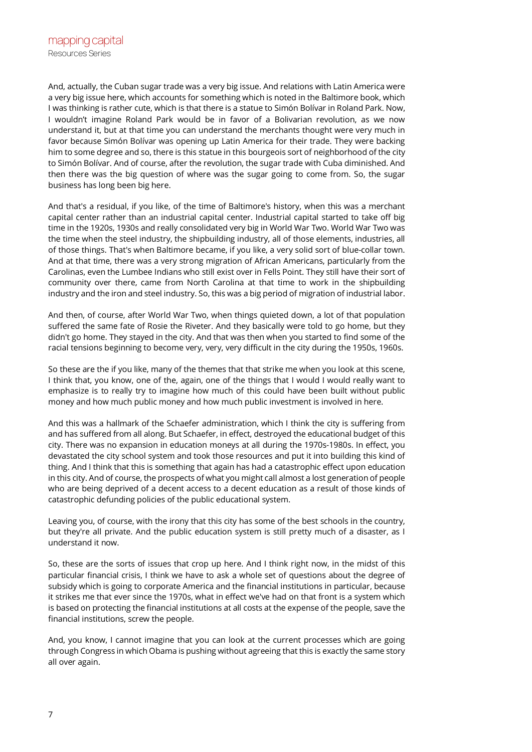And, actually, the Cuban sugar trade was a very big issue. And relations with Latin America were a very big issue here, which accounts for something which is noted in the Baltimore book, which I was thinking is rather cute, which is that there is a statue to Simón Bolívar in Roland Park. Now, I wouldn't imagine Roland Park would be in favor of a Bolivarian revolution, as we now understand it, but at that time you can understand the merchants thought were very much in favor because Simón Bolívar was opening up Latin America for their trade. They were backing him to some degree and so, there is this statue in this bourgeois sort of neighborhood of the city to Simón Bolívar. And of course, after the revolution, the sugar trade with Cuba diminished. And then there was the big question of where was the sugar going to come from. So, the sugar business has long been big here.

And that's a residual, if you like, of the time of Baltimore's history, when this was a merchant capital center rather than an industrial capital center. Industrial capital started to take off big time in the 1920s, 1930s and really consolidated very big in World War Two. World War Two was the time when the steel industry, the shipbuilding industry, all of those elements, industries, all of those things. That's when Baltimore became, if you like, a very solid sort of blue-collar town. And at that time, there was a very strong migration of African Americans, particularly from the Carolinas, even the Lumbee Indians who still exist over in Fells Point. They still have their sort of community over there, came from North Carolina at that time to work in the shipbuilding industry and the iron and steel industry. So, this was a big period of migration of industrial labor.

And then, of course, after World War Two, when things quieted down, a lot of that population suffered the same fate of Rosie the Riveter. And they basically were told to go home, but they didn't go home. They stayed in the city. And that was then when you started to find some of the racial tensions beginning to become very, very, very difficult in the city during the 1950s, 1960s.

So these are the if you like, many of the themes that that strike me when you look at this scene, I think that, you know, one of the, again, one of the things that I would I would really want to emphasize is to really try to imagine how much of this could have been built without public money and how much public money and how much public investment is involved in here.

And this was a hallmark of the Schaefer administration, which I think the city is suffering from and has suffered from all along. But Schaefer, in effect, destroyed the educational budget of this city. There was no expansion in education moneys at all during the 1970s-1980s. In effect, you devastated the city school system and took those resources and put it into building this kind of thing. And I think that this is something that again has had a catastrophic effect upon education in this city. And of course, the prospects of what you might call almost a lost generation of people who are being deprived of a decent access to a decent education as a result of those kinds of catastrophic defunding policies of the public educational system.

Leaving you, of course, with the irony that this city has some of the best schools in the country, but they're all private. And the public education system is still pretty much of a disaster, as I understand it now.

So, these are the sorts of issues that crop up here. And I think right now, in the midst of this particular financial crisis, I think we have to ask a whole set of questions about the degree of subsidy which is going to corporate America and the financial institutions in particular, because it strikes me that ever since the 1970s, what in effect we've had on that front is a system which is based on protecting the financial institutions at all costs at the expense of the people, save the financial institutions, screw the people.

And, you know, I cannot imagine that you can look at the current processes which are going through Congress in which Obama is pushing without agreeing that this is exactly the same story all over again.